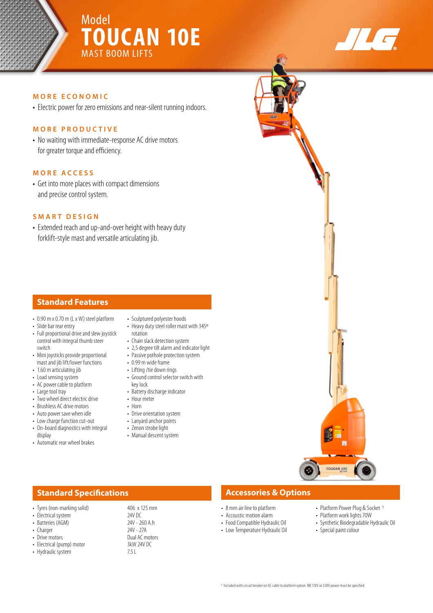# Model **TOUCAN 10E** MAST BOOM LIFTS



## **MORE ECONOMIC**

• Electric power for zero emissions and near-silent running indoors.

### **MORE PRODUCTIVE**

• No waiting with immediate-response AC drive motors for greater torque and efficiency.

## **MORE ACCESS**

• Get into more places with compact dimensions and precise control system.

#### **SMART DESIGN**

• Extended reach and up-and-over height with heavy duty forklift-style mast and versatile articulating jib.

## **Standard Features**

- 0.90 m x 0.70 m (L x W) steel platform
- Slide bar rear entry
- Full proportional drive and slew joystick control with integral thumb steer switch
- Mini joysticks provide proportional mast and jib lift/lower functions
- 1.60 m articulating jib
- Load sensing system
- AC power cable to platform
- Large tool tray
- Two wheel direct electric drive
- Brushless AC drive motors
- Auto power save when idle
- Low charge function cut-out • On-board diagnostics with integral
- display
- Automatic rear wheel brakes
- Sculptured polyester hoods
- Heavy duty steel roller mast with 345º rotation
- Chain slack detection system
- 2,5 degree tilt alarm and indicator light
- Passive pothole protection system • 0.99 m wide frame
- Lifting /tie down rings
- Ground control selector switch with key lock
- Battery discharge indicator
- Hour meter
- Horn
- Drive orientation system
- Lanyard anchor points
- Zenon strobe light
- Manual descent system

## **Standard Specifications Accessories & Options**

- 8 mm air line to platform
- Accoustic motion alarm
- Food Compatible Hydraulic Oil
- Low Temperature Hydraulic Oil
- Platform Power Plug & Socket 1
- Platform work lights 70W
- Synthetic Biodegradable Hydraulic Oil
- Special paint colour

TOUCAN 10E

1 Included with circuit breaker on AC cable to platform option. NB 110V or 230V power must be specified

- Tyres (non-marking solid) 406 x 125 mm
- 
- 
- Charger<br>• Drive motors
- Electrical (pump) motor 3kW<br>• Hydraulic system 3.5 L
- Hydraulic system
- Electrical system 24V DC<br>• Batteries (AGM) 24V 260 A.h • Batteries (AGM) 24V - 260<br>• Charger 27A Dual AC motors<br>3kW 24V DC